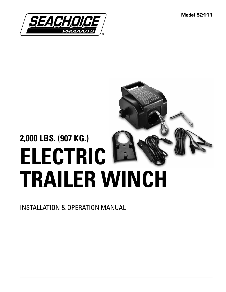**Model 52111**



# **2,000 LBS. (907 KG.) ELECTRIC TRAILER WINCH**

INSTALLATION & OPERATION MANUAL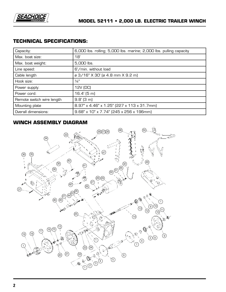

## **TECHNICAL SPECIFICATIONS:**

| Capacity:                 | 6,000 lbs. rolling; 5,000 lbs. marine; 2,000 lbs. pulling capacity |
|---------------------------|--------------------------------------------------------------------|
| Max. boat size:           | 18'                                                                |
| Max. boat weight:         | 5,000 lbs.                                                         |
| Line speed:               | 6'/min. without load                                               |
| Cable length              | ø 3/16" X 30' (ø 4.8 mm X 9.2 m)                                   |
| Hook size:                | $\frac{1}{4}$ "                                                    |
| Power supply:             | 12V (DC)                                                           |
| Power cord:               | $16.4'$ (5 m)                                                      |
| Remote switch wire length | $9.8'$ (3 m)                                                       |
| Mounting plate            | 8.97" x 4.46" x 1.25" (227 x 113 x 31.7mm)                         |
| Overall dimensions:       | 9.68" x 10" x 7.74" (245 x 256 x 196mm)                            |

# **WINCH ASSEMBLY DIAGRAM**

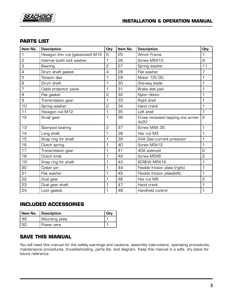

#### **PARTS LIST**

| Item No.       | <b>Description</b>                | Oty.           | Item No. | <b>Description</b>                       | Oty.           |
|----------------|-----------------------------------|----------------|----------|------------------------------------------|----------------|
| 1              | Hexagon thin nut (galvanized) M12 | 5              | 25       | <b>Winch Frame</b>                       | 1              |
| 2              | Internal tooth lock washer        | 1              | 26       | Screw M5X12                              | 9              |
| З              | Bearing                           | 2              | 27       | Spring washer                            | 11             |
| $\overline{4}$ | Drum shaft gasket                 | $\overline{4}$ | 28       | Flat washer                              | $\overline{7}$ |
| 5              | <b>Tension disc</b>               | 1              | 29       | Motor 12V DC                             | 1              |
| 6              | Drum shaft                        | 1              | 30       | One-way blade                            | 1              |
| $\overline{7}$ | Cable protector panel             | 1              | 31       | Brake disk pad                           | 1              |
| 8              | Flat gasket                       | 2              | 32       | Nylon ribbon                             | 1              |
| 9              | Transmission gear                 | 1              | 33       | Right shell                              | 1              |
| 10             | Spring washer                     | 2              | 34       | Hand crank                               | 1              |
| 11             | Hexagon nut M12                   | 1              | 35       | Left shell                               | 1              |
| 12             | Small gear                        | 1              | 36       | Cross recessed tapping one screw<br>4x20 | 2              |
| 13             | Stamped bearing                   | 2              | 37       | Screw M4X 35                             | 1              |
| 14             | Long shaft                        | 1              | 38       | Hex nut M3                               | 1              |
| 15             | Snap ring for shaft               | 1              | 39       | 24A Over-current protector               | 1              |
| 16             | Clutch spring                     | 1              | 40       | Screw M3x12                              | 1              |
| 17             | Transmission gear                 | 1              | 41       | 40A solenoid                             | 2              |
| 18             | Clutch knob                       | 1              | 42       | Screw M5X6                               | 2              |
| 19             | Snap ring for shaft               | 1              | 43       | SCREW M5X16                              | 1              |
| 20             | Cotter pin                        | 1              | 44       | Flexible friction plate (right)          | 1              |
| 21             | Flat washer                       | 1              | 45       | Flexible friction plate(left)            | 1              |
| 22             | Dual gear                         | 1              | 46       | Hex nut M5                               | 5              |
| 53             | Dual gear shaft                   | 1              | 47       | Hand crank                               | 1              |
| 24             | Lock gasket                       | 1              | 48       | Handheld control                         | 1              |

#### **INCLUDED ACCESSORIES**

|      | Item No.   Description |  |
|------|------------------------|--|
| l 49 | Mounting plate         |  |
| l 50 | Power wire             |  |

# **SAVE THIS MANUAL**

You will need this manual for the safety warnings and cautions, assembly instructions, operating procedures, maintenance procedures, troubleshooting, parts list, and diagram. Keep this manual in a safe, dry place for future reference.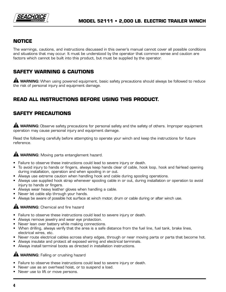

#### **NOTICE**

The warnings, cautions, and instructions discussed in this owner's manual cannot cover all possible conditions and situations that may occur. It must be understood by the operator that common sense and caution are factors which cannot be built into this product, but must be supplied by the operator.

## **SAFETY WARNING & CAUTIONS**

**A WARNING:** When using powered equipment, basic safety precautions should always be followed to reduce the risk of personal injury and equipment damage.

# **READ ALL INSTRUCTIONS BEFORE USING THIS PRODUCT.**

# **SAFETY PRECAUTIONS**

**A WARNING:** Observe safety precautions for personal safety and the safety of others. Improper equipment operation may cause personal injury and equipment damage.

Read the following carefully before attempting to operate your winch and keep the instructions for future reference.

#### **A WARNING:** Moving parts entanglement hazard.

- Failure to observe these instructions could lead to severe injury or death.
- To avoid injury to hands or fingers, always keep hands clear of cable, hook loop, hook and fairlead opening during installation, operation and when spooling in or out.
- Always use extreme caution when handling hook and cable during spooling operations.
- Always use supplied hook strap whenever spooling cable in or out, during installation or operation to avoid injury to hands or fingers.
- Always wear heavy leather gloves when handling a cable.
- Never let cable slip through your hands.
- Always be aware of possible hot surface at winch motor, drum or cable during or after winch use.

#### **A WARNING:** Chemical and fire hazard

- Failure to observe these instructions could lead to severe injury or death.
- Always remove jewelry and wear eye protection.
- Never lean over battery while making connections.
- When drilling, always verify that the area is a safe distance from the fuel line, fuel tank, brake lines, electrical wires, etc.
- Never route electrical cables across sharp edges, through or near moving parts or parts that become hot.
- Always insulate and protect all exposed wiring and electrical terminals.
- Always install terminal boots as directed in installation instructions.

#### **A WARNING:** Falling or crushing hazard

- Failure to observe these instructions could lead to severe injury or death.
- Never use as an overhead hoist, or to suspend a load.
- Never use to lift or move persons.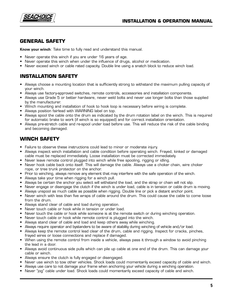



## **GENERAL SAFETY**

**Know your winch**: Take time to fully read and understand this manual.

- Never operate this winch if you are under 16 years of age.
- Never operate this winch when under the influence of drugs, alcohol or medication.
- Never exceed winch or cable rated capacity. Double line using a snatch block to reduce winch load.

#### **INSTALLATION SAFETY**

- Always choose a mounting location that is sufficiently strong to withstand the maximum pulling capacity of your winch.
- Always use factory-approved switches, remote controls, accessories and installation components.
- Always use Grade 5 or better hardware, never weld bolts and never use longer bolts than those supplied by the manufacturer.
- Winch mounting and installation of hook to hook loop is necessary before wiring is complete.
- Always position fairlead with WARNING label on top.
- Always spool the cable onto the drum as indicated by the drum rotation label on the winch. This is required for automatic brake to work (if winch is so equipped) and for correct installation orientation.
- Always pre-stretch cable and re-spool under load before use. This will reduce the risk of the cable binding and becoming damaged.

## **WINCH SAFETY**

- Failure to observe these instructions could lead to minor or moderate injury.
- Always inspect winch installation and cable condition before operating winch. Frayed, kinked or damaged cable must be replaced immediately. Loose installation must be corrected immediately.
- Never leave remote control plugged into winch while free spooling, rigging or idling.
- Never hook cable back onto itself. This will damage the cable. Always use a choker chain, wire choker rope, or tree trunk protector on the anchor.
- Prior to winching, always remove any element that may interfere with the safe operation of the winch.
- Always take your time when rigging for a winch pull.
- Always be certain the anchor you select will withstand the load, and the strap or chain will not slip.
- Never engage or disengage the clutch if the winch is under load, cable is in tension or cable drum is moving.
- Always unspool as much cable as possible when rigging. Double line or pick a distant anchor point.
- Never winch with less than five wraps of cable around the drum. This could cause the cable to come loose from the drum.
- Always stand clear of cable and load during operation.
- Never touch cable or hook while in tension or under load.
- Never touch the cable or hook while someone is at the remote switch or during winching operation.
- Never touch cable or hook while remote control is plugged into the winch.
- Always stand clear of cable and load and keep others away while winching.
- Always require operator and bystanders to be aware of stability during winching of vehicle and/or load.
- Always keep the remote control lead clear of the drum, cable and rigging. Inspect for cracks, pinches, frayed wires or loose connections and replace if damaged.
- When using the remote control from inside a vehicle, always pass it through a window to avoid pinching the lead in a door.
- Always avoid continuous side pulls which can pile up cable at one end of the drum. This can damage your cable or winch.
- Always ensure the clutch is fully engaged or disengaged.
- Never use winch to tow other vehicles. Shock loads could momentarily exceed capacity of cable and winch.
- Always use care to not damage your frame when anchoring your vehicle during a winching operation.
- Never "jog" cable under load. Shock loads could momentarily exceed capacity of cable and winch.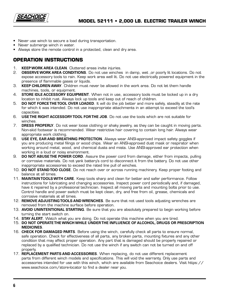

- Never use winch to secure a load during transportation.
- Never submerge winch in water.
- Always store the remote control in a protected, clean and dry area.

#### **OPERATION INSTRUCTIONS**

- 1. **KEEP WORK AREA CLEAN**. Cluttered areas invite injuries.
- 2. **OBSERVE WORK AREA CONDITIONS**. Do not use winches in damp, wet ,or poorly lit locations. Do not expose accessory tools to rain. Keep work area well lit. Do not use electrically powered equipment in the presence of flammable gases or liquids.
- 3. **KEEP CHILDREN AWAY**. Children must never be allowed in the work area. Do not let them handle machines, tools, or equipment.
- 4. **STORE IDLE ACCESSORY EQUIPMENT**. When not in use, accessory tools must be locked up in a dry location to inhibit rust. Always lock up tools and keep out of reach of children.
- 5. **DO NOT FORCE THE TOOL OVER LOADED**. It will do the job better and more safely, steadily at the rate for which it was intended. Do not use inappropriate attachments in an attempt to exceed the tool's capacities.
- 6. **USE THE RIGHT ACCESSORY TOOL FOR THE JOB**. Do not use the tools which are not suitable for winches.
- 7. **DRESS PROPERLY**. Do not wear loose clothing or shaky jewelry, as they can be caught in moving parts. Non-skid footwear is recommended. Wear restrictive hair covering to contain long hair. Always wear appropriate work clothing.
- 8. **USE EYE, EAR AND BREATHING PROTECTION**. Always wear ANSI-approved impact safety goggles if you are producing metal filings or wood chips. Wear an ANSI-approved dust mask or respirator when working around metal, wood, and chemical dusts and mists. Use ANSI-approved ear protection when working in a loud or noisy environment.
- 9. **DO NOT ABUSE THE POWER CORD**. Assure the power cord from damage, either from impacts, pulling or corrosive materials. Do not yank battery's cord to disconnect it from the battery. Do not use other inappropriate accessories to exceed the rated line pull of winches.
- 10. **DO NOT STAND TOO CLOSE**. Do not reach over or across running machinery. Keep proper footing and balance at all times.
- 11. **MAINTAIN TOOLS WITH CARE**. Keep tools sharp and clean for better and safer performance. Follow instructions for lubricating and changing accessories. Inspect power cord periodically and, if damaged, have it repaired by a professional technician. Inspect all moving parts and mounting bolts prior to use. Control handle and power switch must be kept clean, dry, and free from oil, grease, chemicals and corrosive materials at all times.
- 12. **REMOVE ADJUSTING TOOLS AND WRENCHES**. Be sure that not used tools adjusting wrenches are removed from the machine surface before operation.
- 13. **AVOID UNINTENTIONAL STARTING**. Be sure that you are absolutely prepared to begin working before turning the start switch on.
- 14. **STAY ALERT**. Watch what you are doing. Do not operate this machine when you are tired.
- 15. **DO NOT OPERATE THE WINCH WHILE UNDER THE INFLUENCE OF ALCOHOL, DRUGS OR PRESCRIPTION MEDICINES**.
- 16. **CHECK FOR DAMAGED PARTS**. Before using the winch, carefully check all parts to ensure normal, safe operation. Check for effectiveness of all parts, any broken parts, mounting fixtures and any other condition that may affect proper operation. Any part that is damaged should be properly repaired or replaced by a qualified technician. Do not use the winch if any switch can not be turned on and off properly.
- 17. **REPLACEMENT PARTS AND ACCESSORIES**. When replacing, do not use different replacement parts from different winch models and specifications. This will void the warranty. Only use parts and accessories intended for use with this winch, which are available from Seachoice dealers. Visit https:// www.seachoice.com/store-locator to find a dealer near you.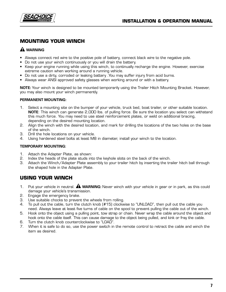

## **MOUNTING YOUR WINCH**

#### **WARNING**

- Always connect red wire to the positive pole of battery, connect black wire to the negative pole.
- Do not use your winch continuously or you will drain the battery.
- Keep your engine running while using this winch, to continually recharge the engine. However, exercise extreme caution when working around a running vehicle.
- Do not use a dirty, corroded or leaking battery .You may suffer injury from acid burns.
- Always wear ANSI approved safety glasses when working around or with a battery.

**NOTE:** Your winch is designed to be mounted temporarily using the Trailer Hitch Mounting Bracket. However, you may also mount your winch permanently.

#### **PERMANENT MOUNTING:**

- 1. Select a mounting site on the bumper of your vehicle, truck bed, boat trailer, or other suitable location. **NOTE**: This winch can generate 2,000 lbs. of pulling force. Be sure the location you select can withstand this much force. You may need to use steel reinforcement plates, or weld on additional bracing, depending on the desired mounting location.
- 2. Align the winch with the desired location, and mark for drilling the locations of the two holes on the base of the winch.
- 3. Drill the hole locations on your vehicle.
- 4. Using hardened steel bolts at least M8 in diameter, install your winch to the location.

#### **TEMPORARY MOUNTING:**

- 1. Attach the Adapter Plate, as shown:
- 2. Index the heads of the plate studs into the keyhole slots on the back of the winch.
- 3. Attach the Winch/Adapter Plate assembly to your trailer hitch by inserting the trailer hitch ball through the shaped hole in the Adapter Plate.

#### **USING YOUR WINCH**

- 1. Put your vehicle in neutral. **WARNING:** Never winch with your vehicle in gear or in park, as this could damage your vehicle's transmission.
- 2. Engage the emergency brake.
- 3. Use suitable chocks to prevent the wheels from rolling.
- 4. To pull out the cable, turn the clutch knob (#15) clockwise to "UNLOAD", then pull out the cable you need. Always leave at least five turns of cable on the spool to prevent pulling the cable out of the winch.
- 5. Hook onto the object using a pulling point, tow strap or chain. Never wrap the cable around the object and hook onto the cable itself. This can cause damage to the object being pulled, and kink or fray the cable.
- 6. Turn the clutch knob counterclockwise to "LOAD".
- 7. When it is safe to do so, use the power switch in the remote control to retract the cable and winch the item as desired.